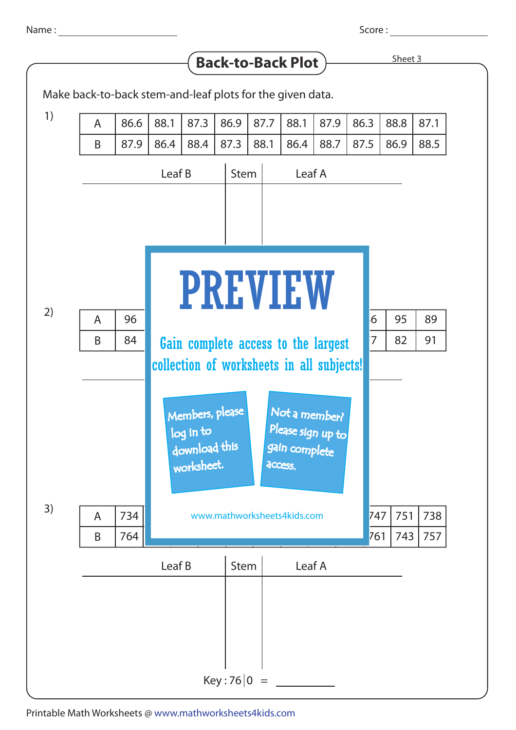Name :

Score : with the second second second second second second second second second second second second second second second second second second second second second second second second second second second second second se